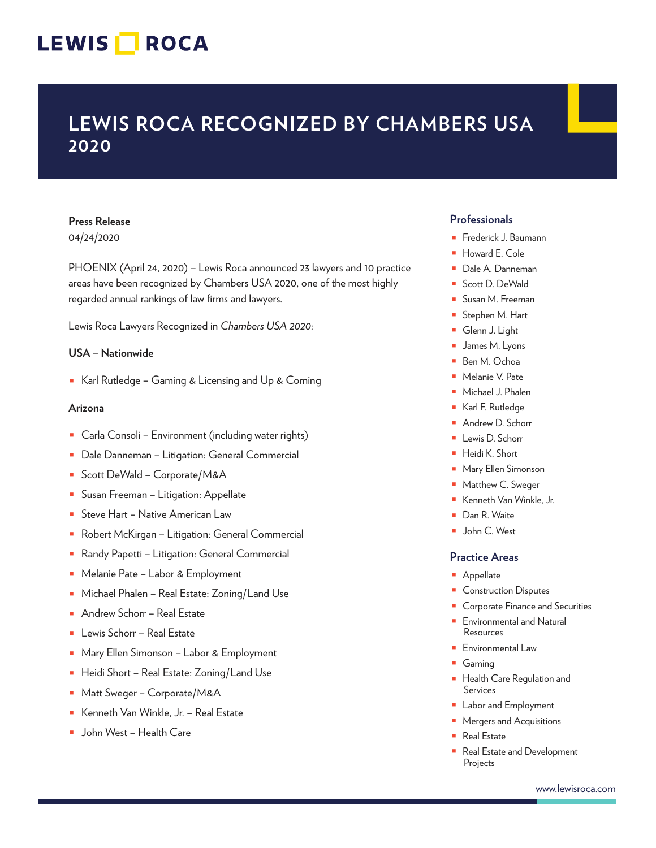## LEWIS **NOCA**

### **LEWIS ROCA RECOGNIZED BY CHAMBERS USA 2020**

### **Press Release**

04/24/2020

PHOENIX (April 24, 2020) – Lewis Roca announced 23 lawyers and 10 practice areas have been recognized by Chambers USA 2020, one of the most highly regarded annual rankings of law firms and lawyers.

Lewis Roca Lawyers Recognized in *Chambers USA 2020:*

#### **USA – Nationwide**

■ Karl Rutledge – Gaming & Licensing and Up & Coming

#### **Arizona**

- Carla Consoli Environment (including water rights)
- Dale Danneman Litigation: General Commercial
- Scott DeWald Corporate/M&A
- Susan Freeman Litigation: Appellate
- Steve Hart Native American Law
- Robert McKirgan Litigation: General Commercial
- Randy Papetti Litigation: General Commercial
- Melanie Pate Labor & Employment
- Michael Phalen Real Estate: Zoning/Land Use
- Andrew Schorr Real Estate
- Lewis Schorr Real Estate
- Mary Ellen Simonson Labor & Employment
- Heidi Short Real Estate: Zoning/Land Use
- Matt Sweger Corporate/M&A
- Kenneth Van Winkle, Jr. Real Estate
- John West Health Care

#### **Professionals**

- Frederick J. Baumann
- Howard E. Cole
- Dale A. Danneman
- Scott D. DeWald
- Susan M. Freeman
- Stephen M. Hart
- Glenn J. Light
- James M. Lyons
- Ben M. Ochoa
- Melanie V. Pate
- Michael J. Phalen
- Karl F. Rutledge
- Andrew D. Schorr
- Lewis D. Schorr
- Heidi K. Short
- Mary Ellen Simonson
- Matthew C. Sweger
- Kenneth Van Winkle, Jr.
- Dan R. Waite
- John C. West

#### **Practice Areas**

- Appellate
- Construction Disputes
- **Corporate Finance and Securities**
- Environmental and Natural Resources
- Environmental Law
- Gaming
- Health Care Regulation and Services
- Labor and Employment
- Mergers and Acquisitions
- Real Estate
- Real Estate and Development Projects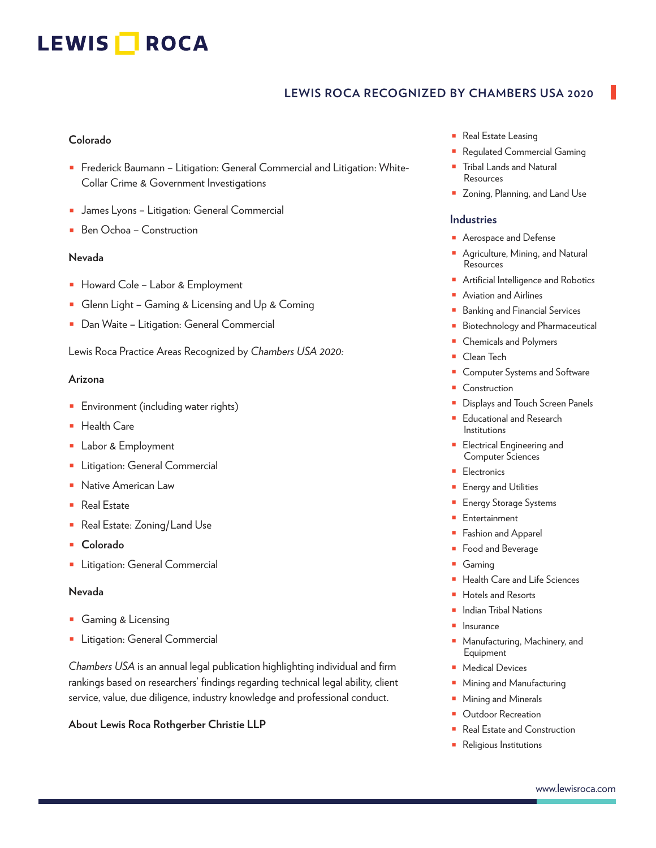# LEWIS **NOCA**

#### **LEWIS ROCA RECOGNIZED BY CHAMBERS USA 2020**

#### **Colorado**

- Frederick Baumann Litigation: General Commercial and Litigation: White-Collar Crime & Government Investigations
- James Lyons Litigation: General Commercial
- Ben Ochoa Construction

#### **Nevada**

- Howard Cole Labor & Employment
- Glenn Light Gaming & Licensing and Up & Coming
- Dan Waite Litigation: General Commercial

Lewis Roca Practice Areas Recognized by *Chambers USA 2020:* 

#### **Arizona**

- Environment (including water rights)
- Health Care
- Labor & Employment
- **•** Litigation: General Commercial
- Native American Law
- Real Estate
- Real Estate: Zoning/Land Use
- **Colorado**
- Litigation: General Commercial

#### **Nevada**

- Gaming & Licensing
- Litigation: General Commercial

*Chambers USA* is an annual legal publication highlighting individual and firm rankings based on researchers' findings regarding technical legal ability, client service, value, due diligence, industry knowledge and professional conduct.

#### **About Lewis Roca Rothgerber Christie LLP**

- Real Estate Leasing
- Regulated Commercial Gaming
- **Tribal Lands and Natural Resources**
- Zoning, Planning, and Land Use

#### **Industries**

- Aerospace and Defense
- Agriculture, Mining, and Natural Resources
- Artificial Intelligence and Robotics
- Aviation and Airlines
- **Banking and Financial Services**
- Biotechnology and Pharmaceutical
- Chemicals and Polymers
- Clean Tech
- Computer Systems and Software
- Construction
- Displays and Touch Screen Panels
- Educational and Research Institutions
- Electrical Engineering and Computer Sciences
- **Electronics**
- **Energy and Utilities**
- Energy Storage Systems
- **Entertainment**
- Fashion and Apparel
- Food and Beverage
- **Gaming**
- **Health Care and Life Sciences**
- Hotels and Resorts
- **Indian Tribal Nations**
- **Insurance**
- Manufacturing, Machinery, and Equipment
- Medical Devices
- Mining and Manufacturing
- Mining and Minerals
- **Outdoor Recreation**
- Real Estate and Construction
- Religious Institutions